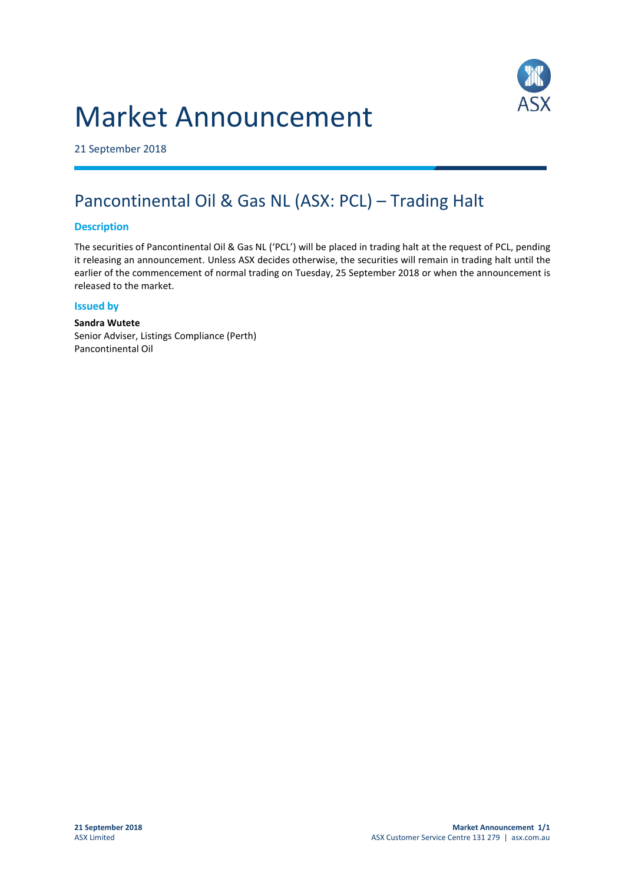# Market Announcement



21 September 2018

## Pancontinental Oil & Gas NL (ASX: PCL) – Trading Halt

#### **Description**

The securities of Pancontinental Oil & Gas NL ('PCL') will be placed in trading halt at the request of PCL, pending it releasing an announcement. Unless ASX decides otherwise, the securities will remain in trading halt until the earlier of the commencement of normal trading on Tuesday, 25 September 2018 or when the announcement is released to the market.

#### **Issued by**

**Sandra Wutete** Senior Adviser, Listings Compliance (Perth) Pancontinental Oil